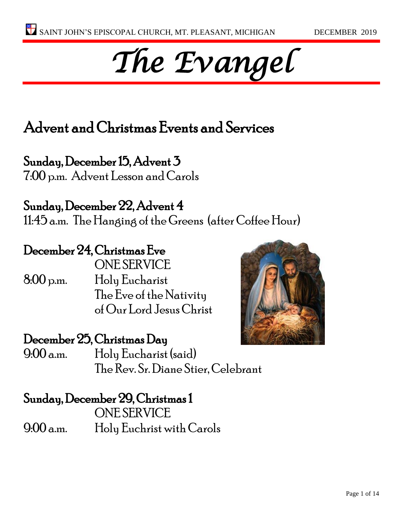# *The Evangel*

## Advent and Christmas Events and Services

Sunday, December 15, Advent 3 7:00 p.m. Advent Lesson and Carols

Sunday, December 22, Advent 4 11:45 a.m. The Hanging of the Greens (after Coffee Hour)

### December 24, Christmas Eve

ONE SERVICE 8:00 p.m. Holy Eucharist The Eve of the Nativity of Our Lord Jesus Christ

#### December 25, Christmas Day

9:00 a.m. Holy Eucharist (said) The Rev. Sr. Diane Stier, Celebrant

#### Sunday, December 29, Christmas 1

ONE SERVICE 9:00 a.m. Holy Euchrist with Carols

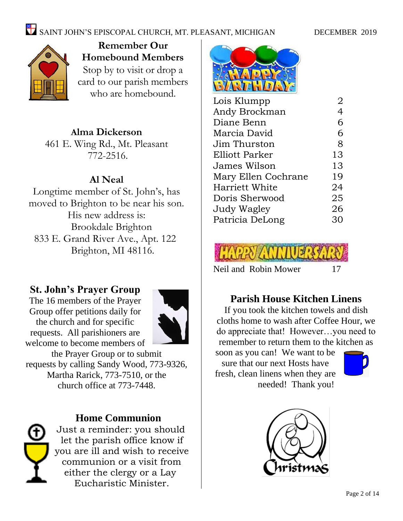

**Remember Our Homebound Members** Stop by to visit or drop a card to our parish members who are homebound.

#### **Alma Dickerson**

461 E. Wing Rd., Mt. Pleasant 772-2516.

#### **Al Neal**

Longtime member of St. John's, has moved to Brighton to be near his son. His new address is: Brookdale Brighton 833 E. Grand River Ave., Apt. 122 Brighton, MI 48116.

#### **St. John's Prayer Group**

The 16 members of the Prayer Group offer petitions daily for the church and for specific requests. All parishioners are welcome to become members of



the Prayer Group or to submit requests by calling Sandy Wood, 773-9326, Martha Rarick, 773-7510, or the church office at 773-7448.

#### **Home Communion**



Just a reminder: you should let the parish office know if you are ill and wish to receive communion or a visit from either the clergy or a Lay Eucharistic Minister.



| Lois Klumpp           | 2              |
|-----------------------|----------------|
| Andy Brockman         | $\overline{4}$ |
| Diane Benn            | 6              |
| Marcia David          | 6              |
| Jim Thurston          | 8              |
| Elliott Parker        | 13             |
| James Wilson          | 13             |
| Mary Ellen Cochrane   | 19             |
| <b>Harriett White</b> | 24             |
| Doris Sherwood        | 25             |
| Judy Wagley           | 26             |
| Patricia DeLong       | 30             |
|                       |                |



#### **Parish House Kitchen Linens**

If you took the kitchen towels and dish cloths home to wash after Coffee Hour, we do appreciate that! However…you need to remember to return them to the kitchen as soon as you can! We want to be sure that our next Hosts have

fresh, clean linens when they are needed! Thank you!



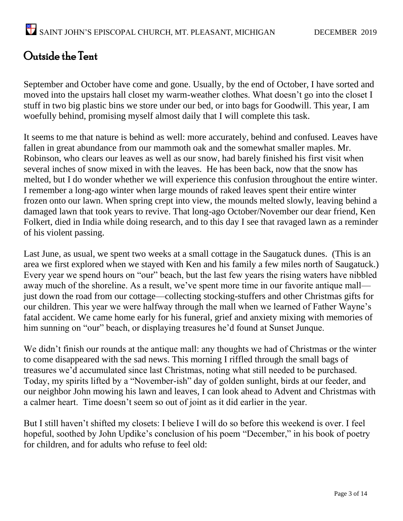#### Outside the Tent

September and October have come and gone. Usually, by the end of October, I have sorted and moved into the upstairs hall closet my warm-weather clothes. What doesn't go into the closet I stuff in two big plastic bins we store under our bed, or into bags for Goodwill. This year, I am woefully behind, promising myself almost daily that I will complete this task.

It seems to me that nature is behind as well: more accurately, behind and confused. Leaves have fallen in great abundance from our mammoth oak and the somewhat smaller maples. Mr. Robinson, who clears our leaves as well as our snow, had barely finished his first visit when several inches of snow mixed in with the leaves. He has been back, now that the snow has melted, but I do wonder whether we will experience this confusion throughout the entire winter. I remember a long-ago winter when large mounds of raked leaves spent their entire winter frozen onto our lawn. When spring crept into view, the mounds melted slowly, leaving behind a damaged lawn that took years to revive. That long-ago October/November our dear friend, Ken Folkert, died in India while doing research, and to this day I see that ravaged lawn as a reminder of his violent passing.

Last June, as usual, we spent two weeks at a small cottage in the Saugatuck dunes. (This is an area we first explored when we stayed with Ken and his family a few miles north of Saugatuck.) Every year we spend hours on "our" beach, but the last few years the rising waters have nibbled away much of the shoreline. As a result, we've spent more time in our favorite antique mall just down the road from our cottage—collecting stocking-stuffers and other Christmas gifts for our children. This year we were halfway through the mall when we learned of Father Wayne's fatal accident. We came home early for his funeral, grief and anxiety mixing with memories of him sunning on "our" beach, or displaying treasures he'd found at Sunset Junque.

We didn't finish our rounds at the antique mall: any thoughts we had of Christmas or the winter to come disappeared with the sad news. This morning I riffled through the small bags of treasures we'd accumulated since last Christmas, noting what still needed to be purchased. Today, my spirits lifted by a "November-ish" day of golden sunlight, birds at our feeder, and our neighbor John mowing his lawn and leaves, I can look ahead to Advent and Christmas with a calmer heart. Time doesn't seem so out of joint as it did earlier in the year.

But I still haven't shifted my closets: I believe I will do so before this weekend is over. I feel hopeful, soothed by John Updike's conclusion of his poem "December," in his book of poetry for children, and for adults who refuse to feel old: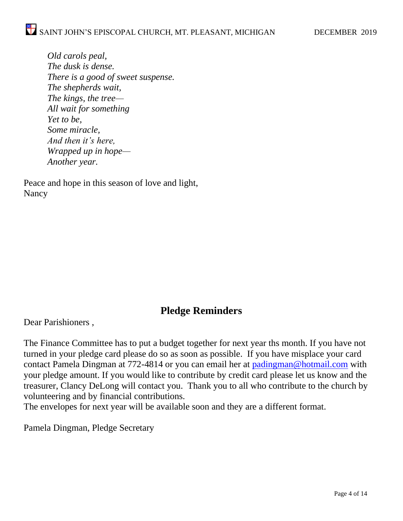*Old carols peal, The dusk is dense. There is a good of sweet suspense. The shepherds wait, The kings, the tree— All wait for something Yet to be, Some miracle, And then it's here, Wrapped up in hope— Another year.*

Peace and hope in this season of love and light, Nancy

#### **Pledge Reminders**

Dear Parishioners ,

The Finance Committee has to put a budget together for next year ths month. If you have not turned in your pledge card please do so as soon as possible. If you have misplace your card contact Pamela Dingman at 772-4814 or you can email her at [padingman@hotmail.com](mailto:padingman@hotmail.com) with your pledge amount. If you would like to contribute by credit card please let us know and the treasurer, Clancy DeLong will contact you. Thank you to all who contribute to the church by volunteering and by financial contributions.

The envelopes for next year will be available soon and they are a different format.

Pamela Dingman, Pledge Secretary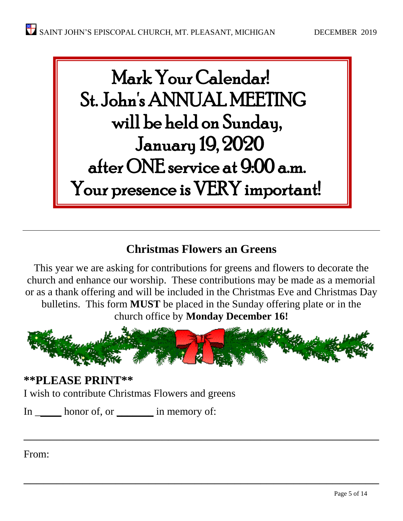

#### **Christmas Flowers an Greens**

This year we are asking for contributions for greens and flowers to decorate the church and enhance our worship. These contributions may be made as a memorial or as a thank offering and will be included in the Christmas Eve and Christmas Day bulletins. This form **MUST** be placed in the Sunday offering plate or in the

church office by **Monday December 16!**



 $\overline{\phantom{a}}$  , and the contract of the contract of the contract of the contract of the contract of the contract of the contract of the contract of the contract of the contract of the contract of the contract of the contrac

 $\overline{\phantom{a}}$  , and the contract of the contract of the contract of the contract of the contract of the contract of the contract of the contract of the contract of the contract of the contract of the contract of the contrac

**\*\*PLEASE PRINT\*\*** I wish to contribute Christmas Flowers and greens

In \_\_\_\_\_\_ honor of, or \_\_\_\_\_\_\_\_ in memory of:

From: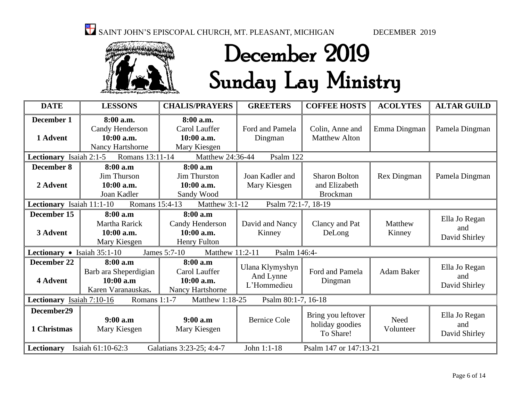

## December 2019 Sunday Lay Ministry

| <b>DATE</b>                                                                                          | <b>LESSONS</b>                                                         | <b>CHALIS/PRAYERS</b>                                       | <b>GREETERS</b>                             | <b>COFFEE HOSTS</b>                                      | <b>ACOLYTES</b>   | <b>ALTAR GUILD</b>                    |
|------------------------------------------------------------------------------------------------------|------------------------------------------------------------------------|-------------------------------------------------------------|---------------------------------------------|----------------------------------------------------------|-------------------|---------------------------------------|
| December 1<br>1 Advent                                                                               | 8:00 a.m.<br>Candy Henderson<br>10:00 a.m.<br>Nancy Hartshorne         | 8:00 a.m.<br>Carol Lauffer<br>10:00 a.m.<br>Mary Kiesgen    | Ford and Pamela<br>Dingman                  | Colin, Anne and<br><b>Matthew Alton</b>                  | Emma Dingman      | Pamela Dingman                        |
| Lectionary Isaiah 2:1-5                                                                              | Romans 13:11-14                                                        | Matthew 24:36-44                                            | Psalm 122                                   |                                                          |                   |                                       |
| <b>December 8</b><br>2 Advent                                                                        | 8:00 a.m<br>Jim Thurson<br>10:00 a.m.<br>Joan Kadler                   | 8:00 a.m<br><b>Jim Thurston</b><br>10:00 a.m.<br>Sandy Wood | Joan Kadler and<br>Mary Kiesgen             | <b>Sharon Bolton</b><br>and Elizabeth<br><b>Brockman</b> | Rex Dingman       | Pamela Dingman                        |
| Lectionary Isaiah 11:1-10                                                                            | Romans 15:4-13                                                         | Matthew 3:1-12                                              | Psalm 72:1-7, 18-19                         |                                                          |                   |                                       |
| December 15<br>3 Advent                                                                              | 8:00 a.m<br><b>Martha Rarick</b><br>10:00 a.m.<br>Mary Kiesgen         | 8:00 a.m<br>Candy Henderson<br>$10:00$ a.m.<br>Henry Fulton | David and Nancy<br>Kinney                   | Clancy and Pat<br>DeLong                                 | Matthew<br>Kinney | Ella Jo Regan<br>and<br>David Shirley |
| Lectionary • Isaiah 35:1-10                                                                          |                                                                        | Matthew 11:2-11<br>James 5:7-10                             | Psalm 146:4-                                |                                                          |                   |                                       |
| December 22<br>4 Advent                                                                              | 8:00 a.m<br>Barb ara Sheperdigian<br>$10:00$ a.m<br>Karen Varanauskas. | 8:00 a.m<br>Carol Lauffer<br>10:00 a.m.<br>Nancy Hartshorne | Ulana Klymyshyn<br>And Lynne<br>L'Hommedieu | Ford and Pamela<br>Dingman                               | <b>Adam Baker</b> | Ella Jo Regan<br>and<br>David Shirley |
| Matthew 1:18-25<br>Psalm 80:1-7, 16-18<br>Lectionary Isaiah 7:10-16<br>Romans $1:1-7$                |                                                                        |                                                             |                                             |                                                          |                   |                                       |
| December29<br>1 Christmas                                                                            | 9:00a.m<br>Mary Kiesgen                                                | 9:00a.m<br>Mary Kiesgen                                     | <b>Bernice Cole</b>                         | Bring you leftover<br>holiday goodies<br>To Share!       | Need<br>Volunteer | Ella Jo Regan<br>and<br>David Shirley |
| Isaiah 61:10-62:3<br>Galatians 3:23-25; 4:4-7<br>John 1:1-18<br>Psalm 147 or 147:13-21<br>Lectionary |                                                                        |                                                             |                                             |                                                          |                   |                                       |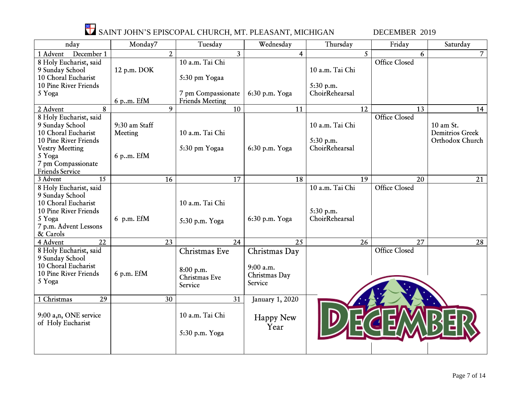

| nday                           | Monday7       |    | Tuesday                | Wednesday       | Thursday        | Friday                       | Saturday        |
|--------------------------------|---------------|----|------------------------|-----------------|-----------------|------------------------------|-----------------|
| 1 Advent<br>December 1         |               | 2  | 3                      | 4               |                 | $\overline{\mathbf{S}}$<br>6 | 7 <sup>1</sup>  |
| 8 Holy Eucharist, said         |               |    | 10 a.m. Tai Chi        |                 |                 | <b>Office Closed</b>         |                 |
| 9 Sunday School                | 12 p.m. DOK   |    |                        |                 | 10 a.m. Tai Chi |                              |                 |
| 10 Choral Eucharist            |               |    | 5:30 pm Yogaa          |                 |                 |                              |                 |
| 10 Pine River Friends          |               |    |                        |                 | 5:30 p.m.       |                              |                 |
| 5 Yoga                         |               |    | 7 pm Compassionate     | 6:30 p.m. Yoga  | ChoirRehearsal  |                              |                 |
|                                | 6 p.m. EfM    |    | <b>Friends Meeting</b> |                 |                 |                              |                 |
| 8<br>2 Advent                  |               | 9  | 10                     | 11              | 12              | 13                           | 14              |
| 8 Holy Eucharist, said         |               |    |                        |                 |                 | <b>Office Closed</b>         |                 |
| 9 Sunday School                | 9:30 am Staff |    |                        |                 | 10 a.m. Tai Chi |                              | 10 am St.       |
| 10 Choral Eucharist            | Meeting       |    | 10 a.m. Tai Chi        |                 |                 |                              | Demitrios Greek |
| 10 Pine River Friends          |               |    |                        |                 | 5:30 p.m.       |                              | Orthodox Church |
| <b>Vestry Meetting</b>         |               |    | 5:30 pm Yogaa          | 6:30 p.m. Yoga  | ChoirRehearsal  |                              |                 |
| 5 Yoga                         | 6 p.m. EfM    |    |                        |                 |                 |                              |                 |
| 7 pm Compassionate             |               |    |                        |                 |                 |                              |                 |
| <b>Friends Service</b>         |               |    |                        |                 |                 |                              |                 |
| $\overline{15}$<br>3 Advent    |               | 16 | 17                     | 18              | 19              | 20                           | 21              |
| 8 Holy Eucharist, said         |               |    |                        |                 | 10 a.m. Tai Chi | <b>Office Closed</b>         |                 |
| 9 Sunday School                |               |    |                        |                 |                 |                              |                 |
| 10 Choral Eucharist            |               |    | 10 a.m. Tai Chi        |                 |                 |                              |                 |
| 10 Pine River Friends          |               |    |                        |                 | 5:30 p.m.       |                              |                 |
| 5 Yoga                         | $6$ p.m. EfM  |    |                        | 6:30 p.m. Yoga  | ChoirRehearsal  |                              |                 |
| 7 p.m. Advent Lessons          |               |    | 5:30 p.m. Yoga         |                 |                 |                              |                 |
| & Carols                       |               |    |                        |                 |                 |                              |                 |
| 22<br>4 Advent                 |               | 23 | 24                     | 25              | 26              | 27                           | 28              |
| 8 Holy Eucharist, said         |               |    | Christmas Eve          | Christmas Day   |                 | <b>Office Closed</b>         |                 |
| 9 Sunday School                |               |    |                        |                 |                 |                              |                 |
| 10 Choral Eucharist            |               |    |                        | 9:00 a.m.       |                 |                              |                 |
| 10 Pine River Friends          | 6 p.m. EfM    |    | 8:00 p.m.              | Christmas Day   |                 |                              |                 |
| 5 Yoga                         |               |    | Christmas Eve          | Service         |                 |                              |                 |
|                                |               |    | Service                |                 |                 |                              |                 |
| 29<br>$\overline{1}$ Christmas |               | 30 | 31                     | January 1, 2020 |                 |                              |                 |
|                                |               |    |                        |                 |                 |                              |                 |
| 9:00 a,n, ONE service          |               |    | 10 a.m. Tai Chi        |                 |                 |                              |                 |
| of Holy Eucharist              |               |    |                        | Happy New       |                 |                              |                 |
|                                |               |    |                        | Year            |                 |                              |                 |
|                                |               |    | 5:30 p.m. Yoga         |                 |                 |                              |                 |
|                                |               |    |                        |                 |                 |                              |                 |
|                                |               |    |                        |                 |                 |                              |                 |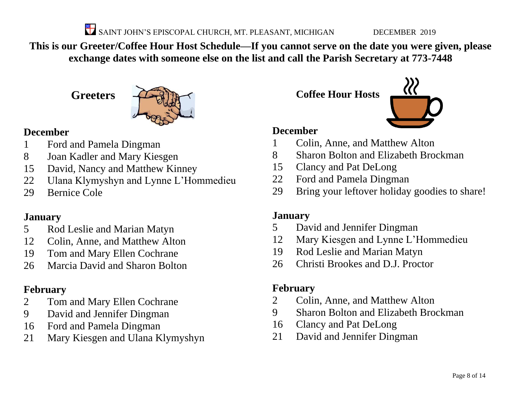**This is our Greeter/Coffee Hour Host Schedule—If you cannot serve on the date you were given, please exchange dates with someone else on the list and call the Parish Secretary at 773-7448**

**Greeters**



#### **December**

- Ford and Pamela Dingman
- Joan Kadler and Mary Kiesgen
- David, Nancy and Matthew Kinney
- Ulana Klymyshyn and Lynne L'Hommedieu
- Bernice Cole

#### **January**

- Rod Leslie and Marian Matyn
- Colin, Anne, and Matthew Alton
- Tom and Mary Ellen Cochrane
- Marcia David and Sharon Bolton

#### **February**

- Tom and Mary Ellen Cochrane
- David and Jennifer Dingman
- Ford and Pamela Dingman
- Mary Kiesgen and Ulana Klymyshyn

**Coffee Hour Hosts**



#### **December**

- Colin, Anne, and Matthew Alton
- Sharon Bolton and Elizabeth Brockman
- Clancy and Pat DeLong
- Ford and Pamela Dingman
- Bring your leftover holiday goodies to share!

#### **January**

- David and Jennifer Dingman
- Mary Kiesgen and Lynne L'Hommedieu
- Rod Leslie and Marian Matyn
- Christi Brookes and D.J. Proctor

#### **February**

- Colin, Anne, and Matthew Alton
- Sharon Bolton and Elizabeth Brockman
- Clancy and Pat DeLong
- David and Jennifer Dingman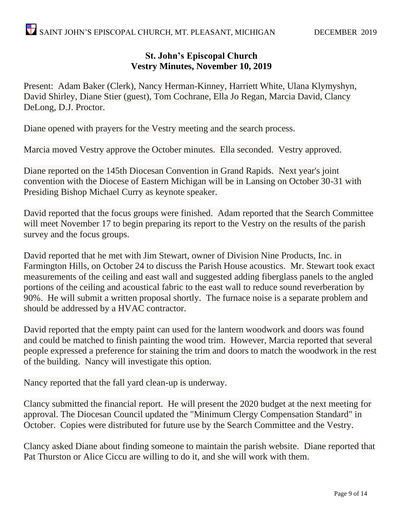#### **St. John's Episcopal Church Vestry Minutes, November 10, 2019**

Present: Adam Baker (Clerk), Nancy Herman-Kinney, Harriett White, Ulana Klymyshyn, David Shirley, Diane Stier (guest), Tom Cochrane, Ella Jo Regan, Marcia David, Clancy DeLong, D.J. Proctor.

Diane opened with prayers for the Vestry meeting and the search process.

Marcia moved Vestry approve the October minutes. Ella seconded. Vestry approved.

Diane reported on the 145th Diocesan Convention in Grand Rapids. Next year's joint convention with the Diocese of Eastern Michigan will be in Lansing on October 30-31 with Presiding Bishop Michael Curry as keynote speaker.

David reported that the focus groups were finished. Adam reported that the Search Committee will meet November 17 to begin preparing its report to the Vestry on the results of the parish survey and the focus groups.

David reported that he met with Jim Stewart, owner of Division Nine Products, Inc. in Farmington Hills, on October 24 to discuss the Parish House acoustics. Mr. Stewart took exact measurements of the ceiling and east wall and suggested adding fiberglass panels to the angled portions of the ceiling and acoustical fabric to the east wall to reduce sound reverberation by 90%. He will submit a written proposal shortly. The furnace noise is a separate problem and should be addressed by a HVAC contractor.

David reported that the empty paint can used for the lantern woodwork and doors was found and could be matched to finish painting the wood trim. However, Marcia reported that several people expressed a preference for staining the trim and doors to match the woodwork in the rest of the building. Nancy will investigate this option.

Nancy reported that the fall yard clean-up is underway.

Clancy submitted the financial report. He will present the 2020 budget at the next meeting for approval. The Diocesan Council updated the "Minimum Clergy Compensation Standard" in October. Copies were distributed for future use by the Search Committee and the Vestry.

Clancy asked Diane about finding someone to maintain the parish website. Diane reported that Pat Thurston or Alice Ciccu are willing to do it, and she will work with them.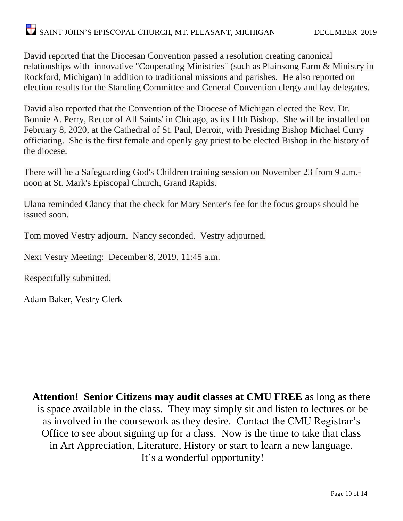David reported that the Diocesan Convention passed a resolution creating canonical relationships with innovative "Cooperating Ministries" (such as Plainsong Farm & Ministry in Rockford, Michigan) in addition to traditional missions and parishes. He also reported on election results for the Standing Committee and General Convention clergy and lay delegates.

David also reported that the Convention of the Diocese of Michigan elected the Rev. Dr. Bonnie A. Perry, Rector of All Saints' in Chicago, as its 11th Bishop. She will be installed on February 8, 2020, at the Cathedral of St. Paul, Detroit, with Presiding Bishop Michael Curry officiating. She is the first female and openly gay priest to be elected Bishop in the history of the diocese.

There will be a Safeguarding God's Children training session on November 23 from 9 a.m. noon at St. Mark's Episcopal Church, Grand Rapids.

Ulana reminded Clancy that the check for Mary Senter's fee for the focus groups should be issued soon.

Tom moved Vestry adjourn. Nancy seconded. Vestry adjourned.

Next Vestry Meeting: December 8, 2019, 11:45 a.m.

Respectfully submitted,

Adam Baker, Vestry Clerk

**Attention! Senior Citizens may audit classes at CMU FREE** as long as there is space available in the class. They may simply sit and listen to lectures or be as involved in the coursework as they desire. Contact the CMU Registrar's Office to see about signing up for a class. Now is the time to take that class in Art Appreciation, Literature, History or start to learn a new language. It's a wonderful opportunity!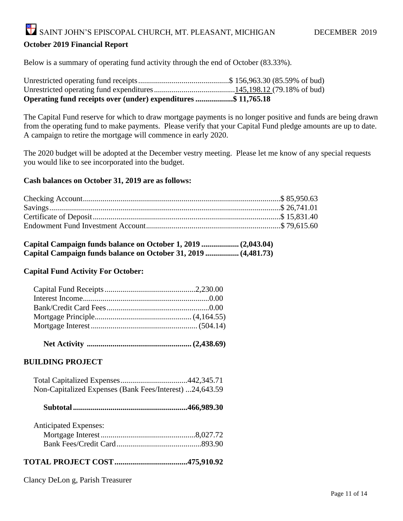Below is a summary of operating fund activity through the end of October (83.33%).

| Operating fund receipts over (under) expenditures \$ 11,765.18 |  |
|----------------------------------------------------------------|--|

The Capital Fund reserve for which to draw mortgage payments is no longer positive and funds are being drawn from the operating fund to make payments. Please verify that your Capital Fund pledge amounts are up to date. A campaign to retire the mortgage will commence in early 2020.

The 2020 budget will be adopted at the December vestry meeting. Please let me know of any special requests you would like to see incorporated into the budget.

#### **Cash balances on October 31, 2019 are as follows:**

| Capital Campaign funds balance on October 31, 2019  (4,481.73) |  |
|----------------------------------------------------------------|--|

#### **Capital Fund Activity For October:**

 **Net Activity ..................................................... (2,438.69)**

#### **BUILDING PROJECT**

| Non-Capitalized Expenses (Bank Fees/Interest) 24,643.59 |  |
|---------------------------------------------------------|--|

|--|--|--|--|

| <b>Anticipated Expenses:</b> |  |
|------------------------------|--|
|                              |  |
|                              |  |

#### **TOTAL PROJECT COST.....................................475,910.92**

Clancy DeLon g, Parish Treasurer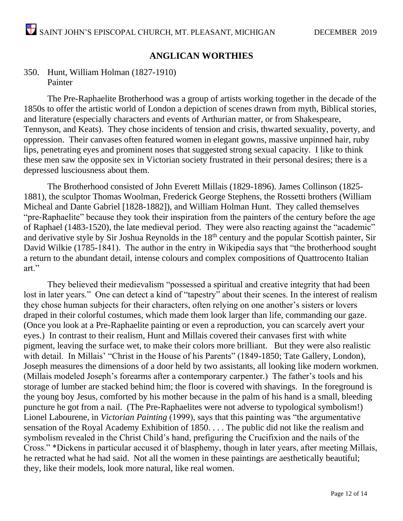#### **ANGLICAN WORTHIES**

#### 350. Hunt, William Holman (1827-1910) Painter

The Pre-Raphaelite Brotherhood was a group of artists working together in the decade of the 1850s to offer the artistic world of London a depiction of scenes drawn from myth, Biblical stories, and literature (especially characters and events of Arthurian matter, or from Shakespeare, Tennyson, and Keats). They chose incidents of tension and crisis, thwarted sexuality, poverty, and oppression. Their canvases often featured women in elegant gowns, massive unpinned hair, ruby lips, penetrating eyes and prominent noses that suggested strong sexual capacity. I like to think these men saw the opposite sex in Victorian society frustrated in their personal desires; there is a depressed lusciousness about them.

 The Brotherhood consisted of John Everett Millais (1829-1896). James Collinson (1825- 1881), the sculptor Thomas Woolman, Frederick George Stephens, the Rossetti brothers (William Micheal and Dante Gabriel [1828-1882]), and William Holman Hunt. They called themselves "pre-Raphaelite" because they took their inspiration from the painters of the century before the age of Raphael (1483-1520), the late medieval period. They were also reacting against the "academic" and derivative style by Sir Joshua Reynolds in the 18<sup>th</sup> century and the popular Scottish painter, Sir David Wilkie (1785-1841). The author in the entry in Wikipedia says that "the brotherhood sought a return to the abundant detail, intense colours and complex compositions of Quattrocento Italian art."

They believed their medievalism "possessed a spiritual and creative integrity that had been lost in later years." One can detect a kind of "tapestry" about their scenes. In the interest of realism they chose human subjects for their characters, often relying on one another's sisters or lovers draped in their colorful costumes, which made them look larger than life, commanding our gaze. (Once you look at a Pre-Raphaelite painting or even a reproduction, you can scarcely avert your eyes.) In contrast to their realism, Hunt and Millais covered their canvases first with white pigment, leaving the surface wet, to make their colors more brilliant. But they were also realistic with detail. In Millais' "Christ in the House of his Parents" (1849-1850; Tate Gallery, London), Joseph measures the dimensions of a door held by two assistants, all looking like modern workmen. (Millais modeled Joseph's forearms after a contemporary carpenter.) The father's tools and his storage of lumber are stacked behind him; the floor is covered with shavings. In the foreground is the young boy Jesus, comforted by his mother because in the palm of his hand is a small, bleeding puncture he got from a nail. (The Pre-Raphaelites were not adverse to typological symbolism!) Lionel Labourene, in *Victorian Painting* (1999), says that this painting was "the argumentative sensation of the Royal Academy Exhibition of 1850. . . . The public did not like the realism and symbolism revealed in the Christ Child's hand, prefiguring the Crucifixion and the nails of the Cross." \*Dickens in particular accused it of blasphemy, though in later years, after meeting Millais, he retracted what he had said. Not all the women in these paintings are aesthetically beautiful; they, like their models, look more natural, like real women.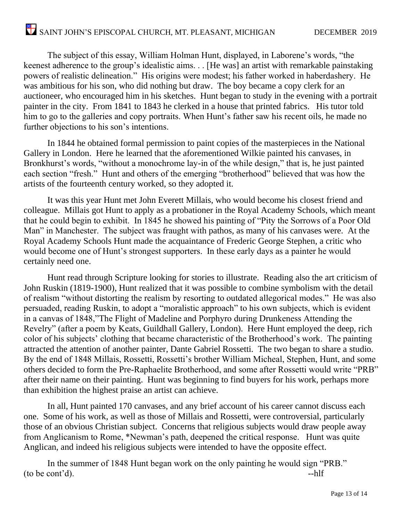The subject of this essay, William Holman Hunt, displayed, in Laborene's words, "the keenest adherence to the group's idealistic aims. . . [He was] an artist with remarkable painstaking powers of realistic delineation." His origins were modest; his father worked in haberdashery. He was ambitious for his son, who did nothing but draw. The boy became a copy clerk for an auctioneer, who encouraged him in his sketches. Hunt began to study in the evening with a portrait painter in the city. From 1841 to 1843 he clerked in a house that printed fabrics. His tutor told him to go to the galleries and copy portraits. When Hunt's father saw his recent oils, he made no further objections to his son's intentions.

In 1844 he obtained formal permission to paint copies of the masterpieces in the National Gallery in London. Here he learned that the aforementioned Wilkie painted his canvases, in Bronkhurst's words, "without a monochrome lay-in of the while design," that is, he just painted each section "fresh." Hunt and others of the emerging "brotherhood" believed that was how the artists of the fourteenth century worked, so they adopted it.

It was this year Hunt met John Everett Millais, who would become his closest friend and colleague. Millais got Hunt to apply as a probationer in the Royal Academy Schools, which meant that he could begin to exhibit. In 1845 he showed his painting of "Pity the Sorrows of a Poor Old Man" in Manchester. The subject was fraught with pathos, as many of his canvases were. At the Royal Academy Schools Hunt made the acquaintance of Frederic George Stephen, a critic who would become one of Hunt's strongest supporters. In these early days as a painter he would certainly need one.

Hunt read through Scripture looking for stories to illustrate. Reading also the art criticism of John Ruskin (1819-1900), Hunt realized that it was possible to combine symbolism with the detail of realism "without distorting the realism by resorting to outdated allegorical modes." He was also persuaded, reading Ruskin, to adopt a "moralistic approach" to his own subjects, which is evident in a canvas of 1848,"The Flight of Madeline and Porphyro during Drunkeness Attending the Revelry" (after a poem by Keats, Guildhall Gallery, London). Here Hunt employed the deep, rich color of his subjects' clothing that became characteristic of the Brotherhood's work. The painting attracted the attention of another painter, Dante Gabriel Rossetti. The two began to share a studio. By the end of 1848 Millais, Rossetti, Rossetti's brother William Micheal, Stephen, Hunt, and some others decided to form the Pre-Raphaelite Brotherhood, and some after Rossetti would write "PRB" after their name on their painting. Hunt was beginning to find buyers for his work, perhaps more than exhibition the highest praise an artist can achieve.

In all, Hunt painted 170 canvases, and any brief account of his career cannot discuss each one. Some of his work, as well as those of Millais and Rossetti, were controversial, particularly those of an obvious Christian subject. Concerns that religious subjects would draw people away from Anglicanism to Rome, \*Newman's path, deepened the critical response. Hunt was quite Anglican, and indeed his religious subjects were intended to have the opposite effect.

In the summer of 1848 Hunt began work on the only painting he would sign "PRB."  $($ to be cont'd). --hlf